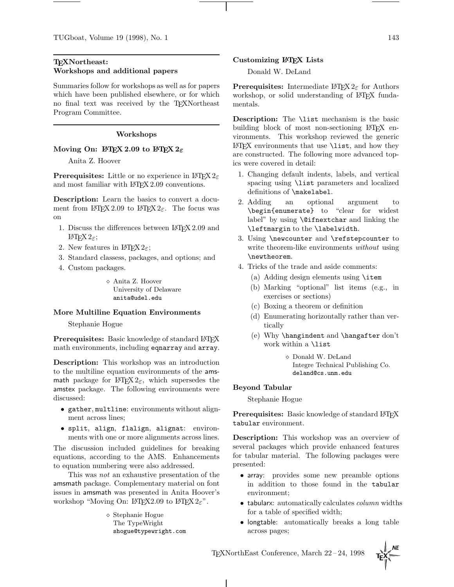# **TEXNortheast: Workshops and additional papers**

Summaries follow for workshops as well as for papers which have been published elsewhere, or for which no final text was received by the TEXNortheast Program Committee.

#### **Workshops**

# **Moving On: LATEX 2.09 to LATEX 2***ε*

Anita Z. Hoover

**Prerequisites:** Little or no experience in  $\text{LATEX } 2\varepsilon$ and most familiar with LAT<sub>E</sub>X 2.09 conventions.

**Description:** Learn the basics to convert a document from LATEX 2.09 to LATEX  $2\varepsilon$ . The focus was on

- 1. Discuss the differences between LAT<sub>E</sub>X 2.09 and LAT<sub>E</sub>X<sub>2ε</sub>;
- 2. New features in LAT<sub>E</sub>X  $2\varepsilon$ ;
- 3. Standard classess, packages, and options; and
- 4. Custom packages.

 Anita Z. Hoover University of Delaware anita@udel.edu

#### **More Multiline Equation Environments**

Stephanie Hogue

Prerequisites: Basic knowledge of standard L<sup>AT</sup>EX math environments, including eqnarray and array.

**Description:** This workshop was an introduction to the multiline equation environments of the amsmath package for  $\angle MFX2_{\epsilon}$ , which supersedes the amstex package. The following environments were discussed:

- gather, multline: environments without alignment across lines;
- split, align, flalign, alignat: environments with one or more alignments across lines.

The discussion included guidelines for breaking equations, according to the AMS. Enhancements to equation numbering were also addressed.

This was not an exhaustive presentation of the amsmath package. Complementary material on font issues in amsmath was presented in Anita Hoover's workshop "Moving On: IATEX2.09 to IATEX2 $\varepsilon$ ".

> Stephanie Hogue The TypeWright shogue@typewright.com

### **Customizing LATEX Lists**

Donald W. DeLand

**Prerequisites:** Intermediate  $\angle M_{\text{F}} \times 2_{\epsilon}$  for Authors workshop, or solid understanding of LAT<sub>EX</sub> fundamentals.

**Description:** The \list mechanism is the basic building block of most non-sectioning LAT<sub>EX</sub> environments. This workshop reviewed the generic LATEX environments that use \list, and how they are constructed. The following more advanced topics were covered in detail:

- 1. Changing default indents, labels, and vertical spacing using \list parameters and localized definitions of \makelabel.
- 2. Adding an optional argument to \begin{enumerate} to "clear for widest label" by using \@ifnextchar and linking the \leftmargin to the \labelwidth.
- 3. Using \newcounter and \refstepcounter to write theorem-like environments *without* using \newtheorem.
- 4. Tricks of the trade and aside comments:
	- (a) Adding design elements using \item
	- (b) Marking "optional" list items (e.g., in exercises or sections)
	- (c) Boxing a theorem or definition
	- (d) Enumerating horizontally rather than vertically
	- (e) Why \hangindent and \hangafter don't work within a \list

 $\diamond$  Donald W. DeLand Integre Technical Publishing Co. deland@cs.unm.edu

### **Beyond Tabular**

Stephanie Hogue

**Prerequisites:** Basic knowledge of standard LATEX tabular environment.

**Description:** This workshop was an overview of several packages which provide enhanced features for tabular material. The following packages were presented:

- array: provides some new preamble options in addition to those found in the tabular environment;
- $\bullet$  tabularx: automatically calculates *column* widths for a table of specified width;
- longtable: automatically breaks a long table across pages;

TEXNorthEast Conference, March 22–24, 1998

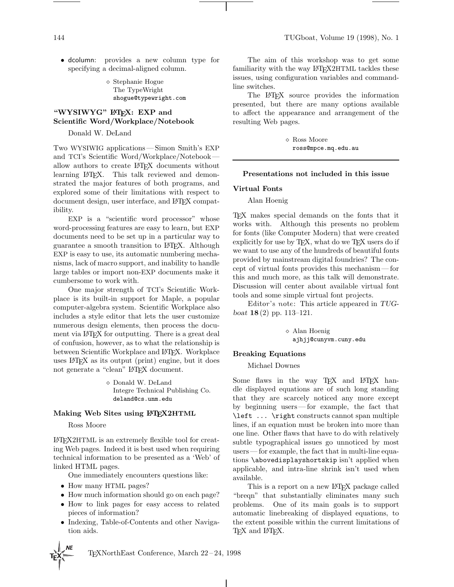• dcolumn: provides a new column type for specifying a decimal-aligned column.

> Stephanie Hogue The TypeWright shogue@typewright.com

### "WYSIWYG" LATEX: EXP and **Scientific Word/Workplace/Notebook**

Donald W. DeLand

Two WYSIWIG applications—Simon Smith's EXP and TCI's Scientific Word/Workplace/Notebook allow authors to create LAT<sub>EX</sub> documents without learning LAT<sub>EX</sub>. This talk reviewed and demonstrated the major features of both programs, and explored some of their limitations with respect to document design, user interface, and LATEX compatibility.

EXP is a "scientific word processor" whose word-processing features are easy to learn, but EXP documents need to be set up in a particular way to guarantee a smooth transition to LATEX. Although EXP is easy to use, its automatic numbering mechanisms, lack of macro support, and inability to handle large tables or import non-EXP documents make it cumbersome to work with.

One major strength of TCI's Scientific Workplace is its built-in support for Maple, a popular computer-algebra system. Scientific Workplace also includes a style editor that lets the user customize numerous design elements, then process the document via L<sup>AT</sup>FX for outputting. There is a great deal of confusion, however, as to what the relationship is between Scientific Workplace and LATEX. Workplace uses LATEX as its output (print) engine, but it does not generate a "clean" LATEX document.

> $\diamond$  Donald W. DeLand Integre Technical Publishing Co. deland@cs.unm.edu

# **Making Web Sites using LATEX2HTML**

Ross Moore

LATEX2HTML is an extremely flexible tool for creating Web pages. Indeed it is best used when requiring technical information to be presented as a 'Web' of linked HTML pages.

One immediately encounters questions like:

- How many HTML pages?
- How much information should go on each page?
- How to link pages for easy access to related pieces of information?
- Indexing, Table-of-Contents and other Navigation aids.

TEXNorthEast Conference, March 22–24, 1998

 $\mathbf{I}$ 

The aim of this workshop was to get some familiarity with the way LAT<sub>E</sub>X2HTML tackles these issues, using configuration variables and commandline switches.

The LATEX source provides the information presented, but there are many options available to affect the appearance and arrangement of the resulting Web pages.

> Ross Moore ross@mpce.mq.edu.au

### **Presentations not included in this issue**

#### **Virtual Fonts**

Alan Hoenig

TEX makes special demands on the fonts that it works with. Although this presents no problem for fonts (like Computer Modern) that were created explicitly for use by  $T_F X$ , what do we  $T_F X$  users do if we want to use any of the hundreds of beautiful fonts provided by mainstream digital foundries? The concept of virtual fonts provides this mechanism— for this and much more, as this talk will demonstrate. Discussion will center about available virtual font tools and some simple virtual font projects.

Editor's note: This article appeared in *TUGboat* **18** (2) pp. 113–121.

> Alan Hoenig ajhjj@cunyvm.cuny.edu

### **Breaking Equations**

Michael Downes

Some flaws in the way TEX and LATEX handle displayed equations are of such long standing that they are scarcely noticed any more except by beginning users— for example, the fact that \left ... \right constructs cannot span multiple lines, if an equation must be broken into more than one line. Other flaws that have to do with relatively subtle typographical issues go unnoticed by most users— for example, the fact that in multi-line equations \abovedisplayshortskip isn't applied when applicable, and intra-line shrink isn't used when available.

This is a report on a new LAT<sub>EX</sub> package called "breqn" that substantially eliminates many such problems. One of its main goals is to support automatic linebreaking of displayed equations, to the extent possible within the current limitations of T<sub>F</sub>X and L<sup>AT</sup>F<sub>X</sub>.